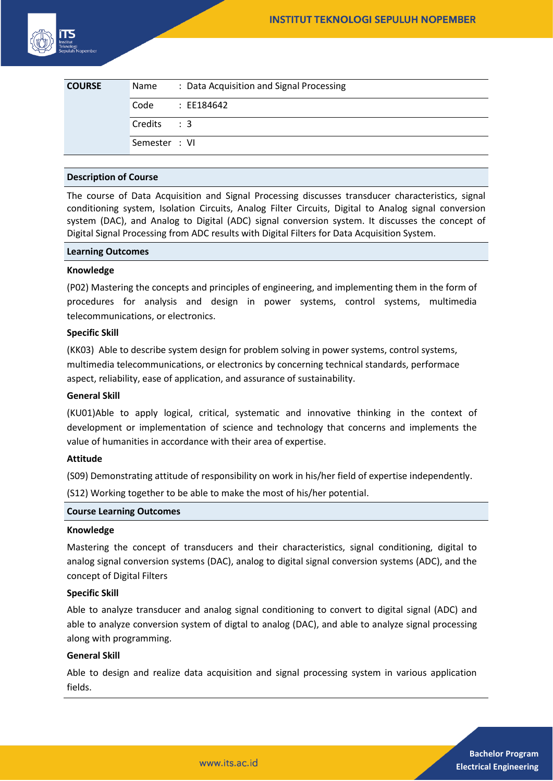| <b>COURSE</b> | Name          | : Data Acquisition and Signal Processing |
|---------------|---------------|------------------------------------------|
|               | Code          | : EE184642                               |
|               | Credits : 3   |                                          |
|               | Semester : VI |                                          |

## **Description of Course**

The course of Data Acquisition and Signal Processing discusses transducer characteristics, signal conditioning system, Isolation Circuits, Analog Filter Circuits, Digital to Analog signal conversion system (DAC), and Analog to Digital (ADC) signal conversion system. It discusses the concept of Digital Signal Processing from ADC results with Digital Filters for Data Acquisition System.

#### **Learning Outcomes**

#### **Knowledge**

(P02) Mastering the concepts and principles of engineering, and implementing them in the form of procedures for analysis and design in power systems, control systems, multimedia telecommunications, or electronics.

# **Specific Skill**

(KK03) Able to describe system design for problem solving in power systems, control systems, multimedia telecommunications, or electronics by concerning technical standards, performace aspect, reliability, ease of application, and assurance of sustainability.

## **General Skill**

(KU01)Able to apply logical, critical, systematic and innovative thinking in the context of development or implementation of science and technology that concerns and implements the value of humanities in accordance with their area of expertise.

### **Attitude**

(S09) Demonstrating attitude of responsibility on work in his/her field of expertise independently.

(S12) Working together to be able to make the most of his/her potential.

#### **Course Learning Outcomes**

#### **Knowledge**

Mastering the concept of transducers and their characteristics, signal conditioning, digital to analog signal conversion systems (DAC), analog to digital signal conversion systems (ADC), and the concept of Digital Filters

#### **Specific Skill**

Able to analyze transducer and analog signal conditioning to convert to digital signal (ADC) and able to analyze conversion system of digtal to analog (DAC), and able to analyze signal processing along with programming.

# **General Skill**

Able to design and realize data acquisition and signal processing system in various application fields.